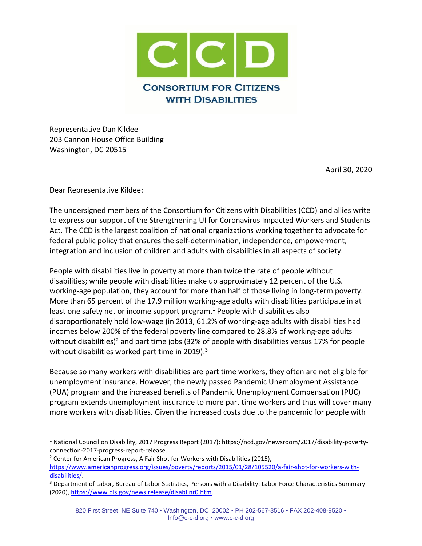

Representative Dan Kildee 203 Cannon House Office Building Washington, DC 20515

April 30, 2020

Dear Representative Kildee:

The undersigned members of the Consortium for Citizens with Disabilities (CCD) and allies write to express our support of the Strengthening UI for Coronavirus Impacted Workers and Students Act. The CCD is the largest coalition of national organizations working together to advocate for federal public policy that ensures the self-determination, independence, empowerment, integration and inclusion of children and adults with disabilities in all aspects of society.

People with disabilities live in poverty at more than twice the rate of people without disabilities; while people with disabilities make up approximately 12 percent of the U.S. working-age population, they account for more than half of those living in long-term poverty. More than 65 percent of the 17.9 million working-age adults with disabilities participate in at least one safety net or income support program.<sup>1</sup> People with disabilities also disproportionately hold low-wage (in 2013, 61.2% of working-age adults with disabilities had incomes below 200% of the federal poverty line compared to 28.8% of working-age adults without disabilities)<sup>2</sup> and part time jobs (32% of people with disabilities versus 17% for people without disabilities worked part time in 2019).<sup>3</sup>

Because so many workers with disabilities are part time workers, they often are not eligible for unemployment insurance. However, the newly passed Pandemic Unemployment Assistance (PUA) program and the increased benefits of Pandemic Unemployment Compensation (PUC) program extends unemployment insurance to more part time workers and thus will cover many more workers with disabilities. Given the increased costs due to the pandemic for people with

<sup>1</sup> National Council on Disability, 2017 Progress Report (2017): https://ncd.gov/newsroom/2017/disability-povertyconnection-2017-progress-report-release.

 $2$  Center for American Progress, A Fair Shot for Workers with Disabilities (2015), [https://www.americanprogress.org/issues/poverty/reports/2015/01/28/105520/a-fair-shot-for-workers-with](https://www.americanprogress.org/issues/poverty/reports/2015/01/28/105520/a-fair-shot-for-workers-with-disabilities/)[disabilities/.](https://www.americanprogress.org/issues/poverty/reports/2015/01/28/105520/a-fair-shot-for-workers-with-disabilities/)

<sup>&</sup>lt;sup>3</sup> Department of Labor, Bureau of Labor Statistics, Persons with a Disability: Labor Force Characteristics Summary (2020), [https://www.bls.gov/news.release/disabl.nr0.htm.](https://www.bls.gov/news.release/disabl.nr0.htm)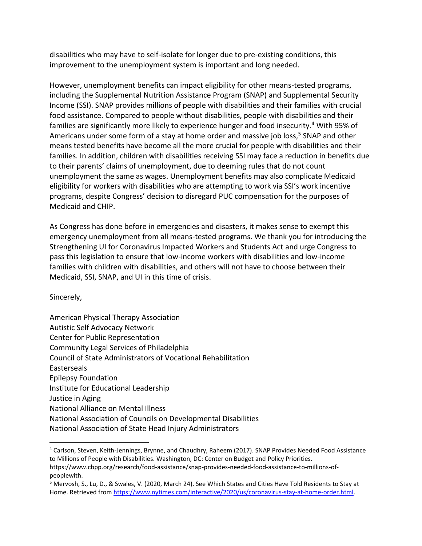disabilities who may have to self-isolate for longer due to pre-existing conditions, this improvement to the unemployment system is important and long needed.

However, unemployment benefits can impact eligibility for other means-tested programs, including the Supplemental Nutrition Assistance Program (SNAP) and Supplemental Security Income (SSI). SNAP provides millions of people with disabilities and their families with crucial food assistance. Compared to people without disabilities, people with disabilities and their families are significantly more likely to experience hunger and food insecurity.<sup>4</sup> With 95% of Americans under some form of a stay at home order and massive job loss, <sup>5</sup> SNAP and other means tested benefits have become all the more crucial for people with disabilities and their families. In addition, children with disabilities receiving SSI may face a reduction in benefits due to their parents' claims of unemployment, due to deeming rules that do not count unemployment the same as wages. Unemployment benefits may also complicate Medicaid eligibility for workers with disabilities who are attempting to work via SSI's work incentive programs, despite Congress' decision to disregard PUC compensation for the purposes of Medicaid and CHIP.

As Congress has done before in emergencies and disasters, it makes sense to exempt this emergency unemployment from all means-tested programs. We thank you for introducing the Strengthening UI for Coronavirus Impacted Workers and Students Act and urge Congress to pass this legislation to ensure that low-income workers with disabilities and low-income families with children with disabilities, and others will not have to choose between their Medicaid, SSI, SNAP, and UI in this time of crisis.

Sincerely,

American Physical Therapy Association Autistic Self Advocacy Network Center for Public Representation Community Legal Services of Philadelphia Council of State Administrators of Vocational Rehabilitation Easterseals Epilepsy Foundation Institute for Educational Leadership Justice in Aging National Alliance on Mental Illness National Association of Councils on Developmental Disabilities National Association of State Head Injury Administrators

<sup>4</sup> Carlson, Steven, Keith-Jennings, Brynne, and Chaudhry, Raheem (2017). SNAP Provides Needed Food Assistance to Millions of People with Disabilities. Washington, DC: Center on Budget and Policy Priorities.

https://www.cbpp.org/research/food-assistance/snap-provides-needed-food-assistance-to-millions-ofpeoplewith.

<sup>5</sup> Mervosh, S., Lu, D., & Swales, V. (2020, March 24). See Which States and Cities Have Told Residents to Stay at Home. Retrieved from [https://www.nytimes.com/interactive/2020/us/coronavirus-stay-at-home-order.html.](https://www.nytimes.com/interactive/2020/us/coronavirus-stay-at-home-order.html)